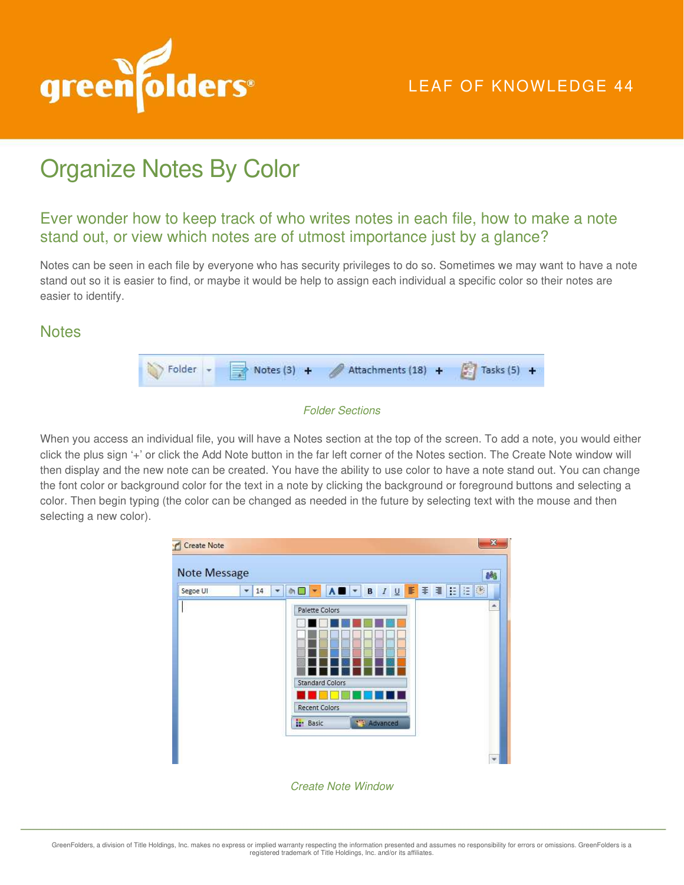

## LEAF OF KNOWLEDGE 44

# Organize Notes By Color

### Ever wonder how to keep track of who writes notes in each file, how to make a note stand out, or view which notes are of utmost importance just by a glance?

Notes can be seen in each file by everyone who has security privileges to do so. Sometimes we may want to have a note stand out so it is easier to find, or maybe it would be help to assign each individual a specific color so their notes are easier to identify.

#### **Notes**

|  | Notes (3) + Attachments (18) + | Tasks $(5) +$ |
|--|--------------------------------|---------------|
|  |                                |               |

#### Folder Sections

When you access an individual file, you will have a Notes section at the top of the screen. To add a note, you would either click the plus sign '+' or click the Add Note button in the far left corner of the Notes section. The Create Note window will then display and the new note can be created. You have the ability to use color to have a note stand out. You can change the font color or background color for the text in a note by clicking the background or foreground buttons and selecting a color. Then begin typing (the color can be changed as needed in the future by selecting text with the mouse and then selecting a new color).



Create Note Window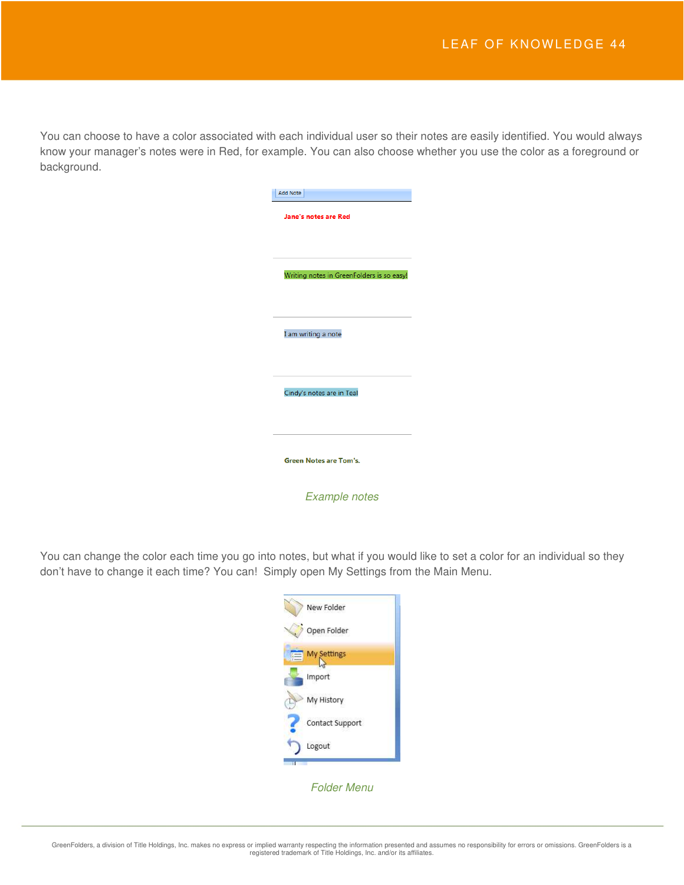You can choose to have a color associated with each individual user so their notes are easily identified. You would always know your manager's notes were in Red, for example. You can also choose whether you use the color as a foreground or background.

| <b>Add Note</b>             |                                           |
|-----------------------------|-------------------------------------------|
| <b>Jane's notes are Red</b> |                                           |
|                             | Writing notes in GreenFolders is so easy! |
| I am writing a note         |                                           |
|                             | Cindy's notes are in Teal                 |
|                             |                                           |
|                             | <b>Green Notes are Tom's.</b>             |
|                             | <b>Example notes</b>                      |

You can change the color each time you go into notes, but what if you would like to set a color for an individual so they don't have to change it each time? You can! Simply open My Settings from the Main Menu.

| New Folder         |
|--------------------|
| Open Folder        |
| <b>My Settings</b> |
| Import             |
| My History         |
| Contact Support    |
| Logout             |
|                    |

Folder Menu